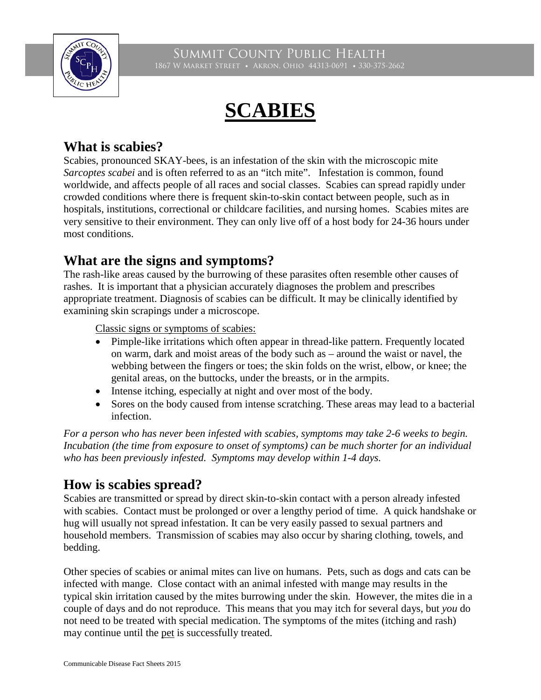

# **SCABIES**

## **What is scabies?**

Scabies, pronounced SKAY-bees, is an infestation of the skin with the microscopic mite *Sarcoptes scabei* and is often referred to as an "itch mite". Infestation is common, found worldwide, and affects people of all races and social classes. Scabies can spread rapidly under crowded conditions where there is frequent skin-to-skin contact between people, such as in hospitals, institutions, correctional or childcare facilities, and nursing homes. Scabies mites are very sensitive to their environment. They can only live off of a host body for 24-36 hours under most conditions.

#### **What are the signs and symptoms?**

The rash-like areas caused by the burrowing of these parasites often resemble other causes of rashes. It is important that a physician accurately diagnoses the problem and prescribes appropriate treatment. Diagnosis of scabies can be difficult. It may be clinically identified by examining skin scrapings under a microscope.

Classic signs or symptoms of scabies:

- Pimple-like irritations which often appear in thread-like pattern. Frequently located on warm, dark and moist areas of the body such as – around the waist or navel, the webbing between the fingers or toes; the skin folds on the wrist, elbow, or knee; the genital areas, on the buttocks, under the breasts, or in the armpits.
- Intense itching, especially at night and over most of the body.
- Sores on the body caused from intense scratching. These areas may lead to a bacterial infection.

*For a person who has never been infested with scabies, symptoms may take 2-6 weeks to begin. Incubation (the time from exposure to onset of symptoms) can be much shorter for an individual who has been previously infested. Symptoms may develop within 1-4 days.* 

# **How is scabies spread?**

Scabies are transmitted or spread by direct skin-to-skin contact with a person already infested with scabies. Contact must be prolonged or over a lengthy period of time. A quick handshake or hug will usually not spread infestation. It can be very easily passed to sexual partners and household members. Transmission of scabies may also occur by sharing clothing, towels, and bedding.

Other species of scabies or animal mites can live on humans. Pets, such as dogs and cats can be infected with mange. Close contact with an animal infested with mange may results in the typical skin irritation caused by the mites burrowing under the skin. However, the mites die in a couple of days and do not reproduce. This means that you may itch for several days, but *you* do not need to be treated with special medication. The symptoms of the mites (itching and rash) may continue until the pet is successfully treated.